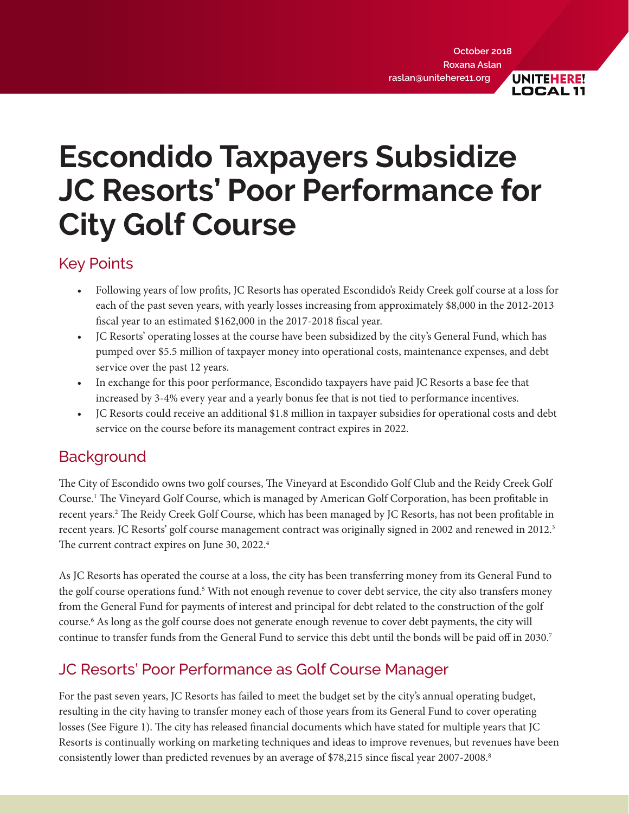**LOCAL11** 

<span id="page-0-0"></span>**Escondido Taxpayers Subsidize JC Resorts' Poor Performance for City Golf Course**

### Key Points

- Following years of low profits, JC Resorts has operated Escondido's Reidy Creek golf course at a loss for each of the past seven years, with yearly losses increasing from approximately \$8,000 in the 2012-2013 fiscal year to an estimated \$162,000 in the 2017-2018 fiscal year.
- JC Resorts' operating losses at the course have been subsidized by the city's General Fund, which has pumped over \$5.5 million of taxpayer money into operational costs, maintenance expenses, and debt service over the past 12 years.
- In exchange for this poor performance, Escondido taxpayers have paid JC Resorts a base fee that increased by 3-4% every year and a yearly bonus fee that is not tied to performance incentives.
- JC Resorts could receive an additional \$1.8 million in taxpayer subsidies for operational costs and debt service on the course before its management contract expires in 2022.

# **Background**

The City of Escondido owns two golf courses, The Vineyard at Escondido Golf Club and the Reidy Creek Golf Course[.1](#page-3-0) The Vineyard Golf Course, which is managed by American Golf Corporation, has been profitable in recent years.[2](#page-3-0) The Reidy Creek Golf Course, which has been managed by JC Resorts, has not been profitable in recent years. JC Resorts' golf course management contract was originally signed in 2002 and renewed in 2012.<sup>3</sup> The current contract expires on June 30, 2022.<sup>4</sup>

As JC Resorts has operated the course at a loss, the city has been transferring money from its General Fund to the golf course operations fund.<sup>5</sup> With not enough revenue to cover debt service, the city also transfers money from the General Fund for payments of interest and principal for debt related to the construction of the golf course[.6](#page-3-0) As long as the golf course does not generate enough revenue to cover debt payments, the city will continue to transfer funds from the General Fund to service this debt until the bonds will be paid off in 2030.[7](#page-3-0)

# JC Resorts' Poor Performance as Golf Course Manager

For the past seven years, JC Resorts has failed to meet the budget set by the city's annual operating budget, resulting in the city having to transfer money each of those years from its General Fund to cover operating losses (See Figure 1). The city has released financial documents which have stated for multiple years that JC Resorts is continually working on marketing techniques and ideas to improve revenues, but revenues have been consistently lower than predicted revenues by an average of \$78,215 since fiscal year 2007-2008.<sup>8</sup>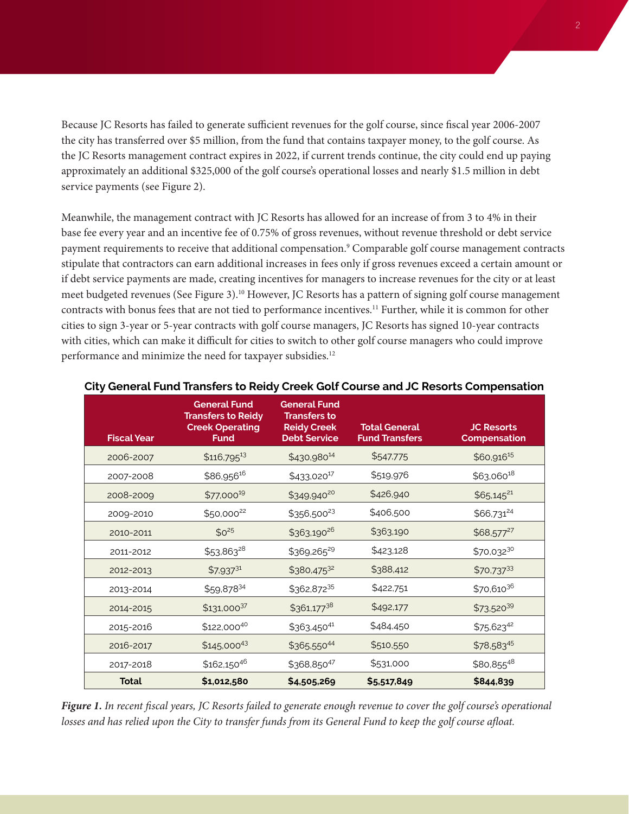<span id="page-1-0"></span>Because JC Resorts has failed to generate sufficient revenues for the golf course, since fiscal year 2006-2007 the city has transferred over \$5 million, from the fund that contains taxpayer money, to the golf course. As the JC Resorts management contract expires in 2022, if current trends continue, the city could end up paying approximately an additional \$325,000 of the golf course's operational losses and nearly \$1.5 million in debt service payments (see Figure 2).

Meanwhile, the management contract with JC Resorts has allowed for an increase of from 3 to 4% in their base fee every year and an incentive fee of 0.75% of gross revenues, without revenue threshold or debt service payment requirements to receive that additional compensation[.9](#page-3-0) Comparable golf course management contracts stipulate that contractors can earn additional increases in fees only if gross revenues exceed a certain amount or if debt service payments are made, creating incentives for managers to increase revenues for the city or at least meet budgeted revenues (See Figure 3).[10](#page-4-0) However, JC Resorts has a pattern of signing golf course management contracts with bonus fees that are not tied to performance incentives[.11](#page-4-0) Further, while it is common for other cities to sign 3-year or 5-year contracts with golf course managers, JC Resorts has signed 10-year contracts with cities, which can make it difficult for cities to switch to other golf course managers who could improve performance and minimize the need for taxpayer subsidies.<sup>12</sup>

| <b>Fiscal Year</b> | <b>General Fund</b><br><b>Transfers to Reidy</b><br><b>Creek Operating</b><br><b>Fund</b> | <b>General Fund</b><br><b>Transfers to</b><br><b>Reidy Creek</b><br><b>Debt Service</b> | <b>Total General</b><br><b>Fund Transfers</b> | <b>JC Resorts</b><br><b>Compensation</b> |
|--------------------|-------------------------------------------------------------------------------------------|-----------------------------------------------------------------------------------------|-----------------------------------------------|------------------------------------------|
| 2006-2007          | $$116,795$ <sup>13</sup>                                                                  | \$430,98014                                                                             | \$547,775                                     | \$60,916 <sup>15</sup>                   |
| 2007-2008          | \$86,956 <sup>16</sup>                                                                    | \$433,020 <sup>17</sup>                                                                 | \$519,976                                     | $$63,060^{18}$                           |
| 2008-2009          | $$77,000^{19}$                                                                            | \$349,940 <sup>20</sup>                                                                 | \$426,940                                     | $$65,145^{21}$                           |
| 2009-2010          | \$50,00022                                                                                | \$356,500 <sup>23</sup>                                                                 | \$406,500                                     | \$66,731 <sup>24</sup>                   |
| 2010-2011          | $$0^{25}$                                                                                 | \$363,190 <sup>26</sup>                                                                 | \$363,190                                     | $$68,577^{27}$                           |
| 2011-2012          | $$53,863^{28}$                                                                            | \$369,26529                                                                             | \$423,128                                     | \$70,03230                               |
| 2012-2013          | $$7,937^{31}$                                                                             | \$380,47532                                                                             | \$388,412                                     | $$70,737^{33}$                           |
| 2013-2014          | \$59,87834                                                                                | \$362,87235                                                                             | \$422,751                                     | \$70,61036                               |
| 2014-2015          | $$131,000^{37}$                                                                           | $$361,177^{38}$                                                                         | \$492,177                                     | \$73,52039                               |
| 2015-2016          | $$122,000^{40}$                                                                           | \$363,45041                                                                             | \$484,450                                     | $$75,623^{42}$                           |
| 2016-2017          | $$145,000^{43}$                                                                           | \$365,55044                                                                             | \$510,550                                     | \$78,58345                               |
| 2017-2018          | $$162,150^{46}$                                                                           | \$368,85047                                                                             | \$531,000                                     | \$80,85548                               |
| <b>Total</b>       | \$1,012,580                                                                               | \$4,505,269                                                                             | \$5,517,849                                   | \$844,839                                |

#### **City General Fund Transfers to Reidy Creek Golf Course and JC Resorts Compensation**

*Figure 1. In recent fiscal years, JC Resorts failed to generate enough revenue to cover the golf course's operational losses and has relied upon the City to transfer funds from its General Fund to keep the golf course afloat.*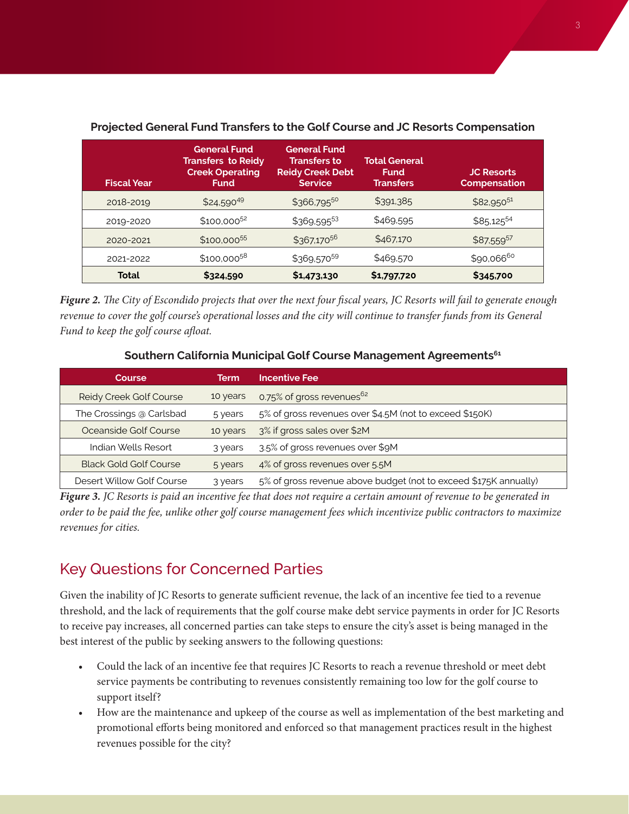| <b>Fiscal Year</b> | <b>General Fund</b><br><b>Transfers to Reidy</b><br><b>Creek Operating</b><br><b>Fund</b> | <b>General Fund</b><br><b>Transfers to</b><br><b>Reidy Creek Debt</b><br><b>Service</b> | <b>Total General</b><br><b>Fund</b><br><b>Transfers</b> | <b>JC Resorts</b><br><b>Compensation</b> |
|--------------------|-------------------------------------------------------------------------------------------|-----------------------------------------------------------------------------------------|---------------------------------------------------------|------------------------------------------|
| 2018-2019          | \$24,59049                                                                                | $$366,795^{50}$                                                                         | \$391,385                                               | $$82,950^{51}$                           |
| 2019-2020          | $$100.000^{52}$$                                                                          | \$369,59553                                                                             | \$469,595                                               | \$85,12554                               |
| 2020-2021          | \$100.000 <sup>55</sup>                                                                   | \$367,17056                                                                             | \$467,170                                               | \$87,55957                               |
| 2021-2022          | \$100,000 <sup>58</sup>                                                                   | \$369,57059                                                                             | \$469,570                                               | \$90,06660                               |
| Total              | \$324,590                                                                                 | \$1,473,130                                                                             | \$1,797,720                                             | \$345,700                                |

### <span id="page-2-0"></span>**Projected General Fund Transfers to the Golf Course and JC Resorts Compensation**

*Figure 2. The City of Escondido projects that over the next four fiscal years, JC Resorts will fail to generate enough revenue to cover the golf course's operational losses and the city will continue to transfer funds from its General Fund to keep the golf course afloat.*

#### **Southern California Municipal Golf Course Management Agreements[61](#page-7-0)**

| Course                               | Term     | <b>Incentive Fee</b>                                             |
|--------------------------------------|----------|------------------------------------------------------------------|
| Reidy Creek Golf Course              | 10 years | 0.75% of gross revenues <sup>62</sup>                            |
| The Crossings @ Carlsbad             | 5 years  | 5% of gross revenues over \$4.5M (not to exceed \$150K)          |
| Oceanside Golf Course                | 10 years | 3% if gross sales over \$2M                                      |
| Indian Wells Resort                  | 3 years  | 3.5% of gross revenues over \$9M                                 |
| <b>Black Gold Golf Course</b>        | 5 years  | 4% of gross revenues over 5.5M                                   |
| Desert Willow Golf Course<br>3 years |          | 5% of gross revenue above budget (not to exceed \$175K annually) |

*Figure 3. JC Resorts is paid an incentive fee that does not require a certain amount of revenue to be generated in order to be paid the fee, unlike other golf course management fees which incentivize public contractors to maximize revenues for cities.*

### Key Questions for Concerned Parties

Given the inability of JC Resorts to generate sufficient revenue, the lack of an incentive fee tied to a revenue threshold, and the lack of requirements that the golf course make debt service payments in order for JC Resorts to receive pay increases, all concerned parties can take steps to ensure the city's asset is being managed in the best interest of the public by seeking answers to the following questions:

- Could the lack of an incentive fee that requires JC Resorts to reach a revenue threshold or meet debt service payments be contributing to revenues consistently remaining too low for the golf course to support itself?
- How are the maintenance and upkeep of the course as well as implementation of the best marketing and promotional efforts being monitored and enforced so that management practices result in the highest revenues possible for the city?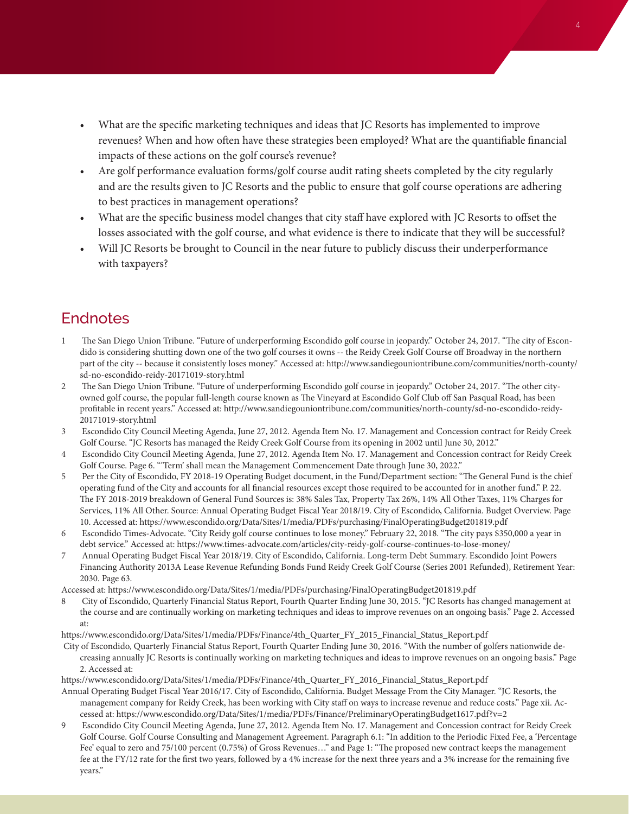- <span id="page-3-0"></span>• What are the specific marketing techniques and ideas that JC Resorts has implemented to improve revenues? When and how often have these strategies been employed? What are the quantifiable financial impacts of these actions on the golf course's revenue?
- Are golf performance evaluation forms/golf course audit rating sheets completed by the city regularly and are the results given to JC Resorts and the public to ensure that golf course operations are adhering to best practices in management operations?
- What are the specific business model changes that city staff have explored with JC Resorts to offset the losses associated with the golf course, and what evidence is there to indicate that they will be successful?
- Will JC Resorts be brought to Council in the near future to publicly discuss their underperformance with taxpayers?

### **Endnotes**

- [1](#page-0-0) The San Diego Union Tribune. "Future of underperforming Escondido golf course in jeopardy." October 24, 2017. "The city of Escondido is considering shutting down one of the two golf courses it owns -- the Reidy Creek Golf Course off Broadway in the northern part of the city -- because it consistently loses money." Accessed at: http://www.sandiegouniontribune.com/communities/north-county/ sd-no-escondido-reidy-20171019-story.html
- [2](#page-0-0) The San Diego Union Tribune. "Future of underperforming Escondido golf course in jeopardy." October 24, 2017. "The other cityowned golf course, the popular full-length course known as The Vineyard at Escondido Golf Club off San Pasqual Road, has been profitable in recent years." Accessed at: http://www.sandiegouniontribune.com/communities/north-county/sd-no-escondido-reidy-20171019-story.html
- [3](#page-0-0) Escondido City Council Meeting Agenda, June 27, 2012. Agenda Item No. 17. Management and Concession contract for Reidy Creek Golf Course. "JC Resorts has managed the Reidy Creek Golf Course from its opening in 2002 until June 30, 2012."
- [4](#page-0-0) Escondido City Council Meeting Agenda, June 27, 2012. Agenda Item No. 17. Management and Concession contract for Reidy Creek Golf Course. Page 6. "'Term' shall mean the Management Commencement Date through June 30, 2022."
- [5](#page-0-0) Per the City of Escondido, FY 2018-19 Operating Budget document, in the Fund/Department section: "The General Fund is the chief operating fund of the City and accounts for all financial resources except those required to be accounted for in another fund." P. 22. The FY 2018-2019 breakdown of General Fund Sources is: 38% Sales Tax, Property Tax 26%, 14% All Other Taxes, 11% Charges for Services, 11% All Other. Source: Annual Operating Budget Fiscal Year 2018/19. City of Escondido, California. Budget Overview. Page 10. Accessed at: https://www.escondido.org/Data/Sites/1/media/PDFs/purchasing/FinalOperatingBudget201819.pdf
- [6](#page-0-0) Escondido Times-Advocate. "City Reidy golf course continues to lose money." February 22, 2018. "The city pays \$350,000 a year in debt service." Accessed at: https://www.times-advocate.com/articles/city-reidy-golf-course-continues-to-lose-money/
- [7](#page-0-0) Annual Operating Budget Fiscal Year 2018/19. City of Escondido, California. Long-term Debt Summary. Escondido Joint Powers Financing Authority 2013A Lease Revenue Refunding Bonds Fund Reidy Creek Golf Course (Series 2001 Refunded), Retirement Year: 2030. Page 63.
- Accessed at: https://www.escondido.org/Data/Sites/1/media/PDFs/purchasing/FinalOperatingBudget201819.pdf
- [8](#page-0-0) City of Escondido, Quarterly Financial Status Report, Fourth Quarter Ending June 30, 2015. "JC Resorts has changed management at the course and are continually working on marketing techniques and ideas to improve revenues on an ongoing basis." Page 2. Accessed at:
- [https://www.escondido.org/Data/Sites/1/media/PDFs/Finance/4th\\_Quarter\\_FY\\_2015\\_Financial\\_Status\\_Report.pdf](https://www.escondido.org/Data/Sites/1/media/PDFs/Finance/4th_Quarter_FY_2015_Financial_Status_Report.pdf)
- City of Escondido, Quarterly Financial Status Report, Fourth Quarter Ending June 30, 2016. "With the number of golfers nationwide decreasing annually JC Resorts is continually working on marketing techniques and ideas to improve revenues on an ongoing basis." Page 2. Accessed at:

[https://www.escondido.org/Data/Sites/1/media/PDFs/Finance/4th\\_Quarter\\_FY\\_2016\\_Financial\\_Status\\_Report.pdf](https://www.escondido.org/Data/Sites/1/media/PDFs/Finance/4th_Quarter_FY_2016_Financial_Status_Report.pdf)

- Annual Operating Budget Fiscal Year 2016/17. City of Escondido, California. Budget Message From the City Manager. "JC Resorts, the management company for Reidy Creek, has been working with City staff on ways to increase revenue and reduce costs." Page xii. Accessed at: https://www.escondido.org/Data/Sites/1/media/PDFs/Finance/PreliminaryOperatingBudget1617.pdf?v=2
- [9](#page-1-0) Escondido City Council Meeting Agenda, June 27, 2012. Agenda Item No. 17. Management and Concession contract for Reidy Creek Golf Course. Golf Course Consulting and Management Agreement. Paragraph 6.1: "In addition to the Periodic Fixed Fee, a 'Percentage Fee' equal to zero and 75/100 percent (0.75%) of Gross Revenues…" and Page 1: "The proposed new contract keeps the management fee at the FY/12 rate for the first two years, followed by a 4% increase for the next three years and a 3% increase for the remaining five years."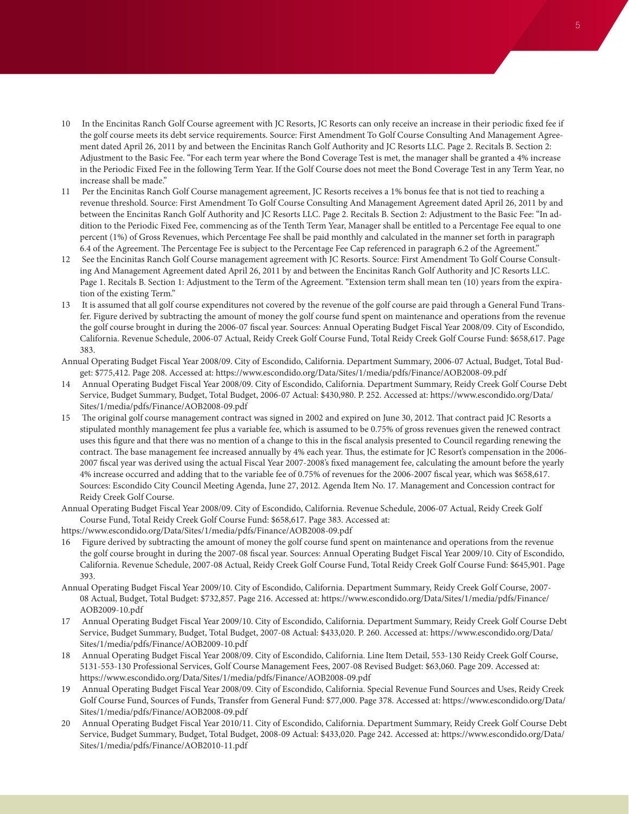- <span id="page-4-0"></span>[10](#page-1-0) In the Encinitas Ranch Golf Course agreement with JC Resorts, JC Resorts can only receive an increase in their periodic fixed fee if the golf course meets its debt service requirements. Source: First Amendment To Golf Course Consulting And Management Agreement dated April 26, 2011 by and between the Encinitas Ranch Golf Authority and JC Resorts LLC. Page 2. Recitals B. Section 2: Adjustment to the Basic Fee. "For each term year where the Bond Coverage Test is met, the manager shall be granted a 4% increase in the Periodic Fixed Fee in the following Term Year. If the Golf Course does not meet the Bond Coverage Test in any Term Year, no increase shall be made."
- [11](#page-1-0) Per the Encinitas Ranch Golf Course management agreement, JC Resorts receives a 1% bonus fee that is not tied to reaching a revenue threshold. Source: First Amendment To Golf Course Consulting And Management Agreement dated April 26, 2011 by and between the Encinitas Ranch Golf Authority and JC Resorts LLC. Page 2. Recitals B. Section 2: Adjustment to the Basic Fee: "In addition to the Periodic Fixed Fee, commencing as of the Tenth Term Year, Manager shall be entitled to a Percentage Fee equal to one percent (1%) of Gross Revenues, which Percentage Fee shall be paid monthly and calculated in the manner set forth in paragraph 6.4 of the Agreement. The Percentage Fee is subject to the Percentage Fee Cap referenced in paragraph 6.2 of the Agreement."
- [12](#page-1-0) See the Encinitas Ranch Golf Course management agreement with JC Resorts. Source: First Amendment To Golf Course Consulting And Management Agreement dated April 26, 2011 by and between the Encinitas Ranch Golf Authority and JC Resorts LLC. Page 1. Recitals B. Section 1: Adjustment to the Term of the Agreement. "Extension term shall mean ten (10) years from the expiration of the existing Term."
- [13](#page-1-0) It is assumed that all golf course expenditures not covered by the revenue of the golf course are paid through a General Fund Transfer. Figure derived by subtracting the amount of money the golf course fund spent on maintenance and operations from the revenue the golf course brought in during the 2006-07 fiscal year. Sources: Annual Operating Budget Fiscal Year 2008/09. City of Escondido, California. Revenue Schedule, 2006-07 Actual, Reidy Creek Golf Course Fund, Total Reidy Creek Golf Course Fund: \$658,617. Page 383.
- Annual Operating Budget Fiscal Year 2008/09. City of Escondido, California. Department Summary, 2006-07 Actual, Budget, Total Budget: \$775,412. Page 208. Accessed at: https://www.escondido.org/Data/Sites/1/media/pdfs/Finance/AOB2008-09.pdf
- [14](#page-1-0) Annual Operating Budget Fiscal Year 2008/09. City of Escondido, California. Department Summary, Reidy Creek Golf Course Debt Service, Budget Summary, Budget, Total Budget, 2006-07 Actual: \$430,980. P. 252. Accessed at: https://www.escondido.org/Data/ Sites/1/media/pdfs/Finance/AOB2008-09.pdf
- [15](#page-1-0) The original golf course management contract was signed in 2002 and expired on June 30, 2012. That contract paid JC Resorts a stipulated monthly management fee plus a variable fee, which is assumed to be 0.75% of gross revenues given the renewed contract uses this figure and that there was no mention of a change to this in the fiscal analysis presented to Council regarding renewing the contract. The base management fee increased annually by 4% each year. Thus, the estimate for JC Resort's compensation in the 2006- 2007 fiscal year was derived using the actual Fiscal Year 2007-2008's fixed management fee, calculating the amount before the yearly 4% increase occurred and adding that to the variable fee of 0.75% of revenues for the 2006-2007 fiscal year, which was \$658,617. Sources: Escondido City Council Meeting Agenda, June 27, 2012. Agenda Item No. 17. Management and Concession contract for Reidy Creek Golf Course.
- Annual Operating Budget Fiscal Year 2008/09. City of Escondido, California. Revenue Schedule, 2006-07 Actual, Reidy Creek Golf Course Fund, Total Reidy Creek Golf Course Fund: \$658,617. Page 383. Accessed at:
- https://www.escondido.org/Data/Sites/1/media/pdfs/Finance/AOB2008-09.pdf
- [16](#page-1-0) Figure derived by subtracting the amount of money the golf course fund spent on maintenance and operations from the revenue the golf course brought in during the 2007-08 fiscal year. Sources: Annual Operating Budget Fiscal Year 2009/10. City of Escondido, California. Revenue Schedule, 2007-08 Actual, Reidy Creek Golf Course Fund, Total Reidy Creek Golf Course Fund: \$645,901. Page 393.
- Annual Operating Budget Fiscal Year 2009/10. City of Escondido, California. Department Summary, Reidy Creek Golf Course, 2007- 08 Actual, Budget, Total Budget: \$732,857. Page 216. Accessed at: https://www.escondido.org/Data/Sites/1/media/pdfs/Finance/ AOB2009-10.pdf
- [17](#page-1-0) Annual Operating Budget Fiscal Year 2009/10. City of Escondido, California. Department Summary, Reidy Creek Golf Course Debt Service, Budget Summary, Budget, Total Budget, 2007-08 Actual: \$433,020. P. 260. Accessed at: https://www.escondido.org/Data/ Sites/1/media/pdfs/Finance/AOB2009-10.pdf
- [18](#page-1-0) Annual Operating Budget Fiscal Year 2008/09. City of Escondido, California. Line Item Detail, 553-130 Reidy Creek Golf Course, 5131-553-130 Professional Services, Golf Course Management Fees, 2007-08 Revised Budget: \$63,060. Page 209. Accessed at: https://www.escondido.org/Data/Sites/1/media/pdfs/Finance/AOB2008-09.pdf
- [19](#page-1-0) Annual Operating Budget Fiscal Year 2008/09. City of Escondido, California. Special Revenue Fund Sources and Uses, Reidy Creek Golf Course Fund, Sources of Funds, Transfer from General Fund: \$77,000. Page 378. Accessed at: https://www.escondido.org/Data/ Sites/1/media/pdfs/Finance/AOB2008-09.pdf
- [20](#page-1-0) Annual Operating Budget Fiscal Year 2010/11. City of Escondido, California. Department Summary, Reidy Creek Golf Course Debt Service, Budget Summary, Budget, Total Budget, 2008-09 Actual: \$433,020. Page 242. Accessed at: https://www.escondido.org/Data/ Sites/1/media/pdfs/Finance/AOB2010-11.pdf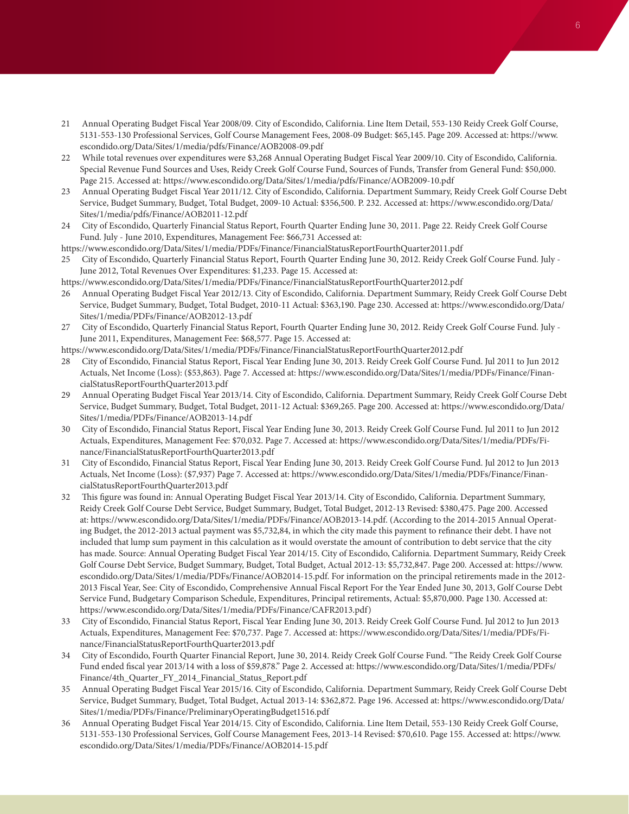- <span id="page-5-0"></span>[21](#page-1-0) Annual Operating Budget Fiscal Year 2008/09. City of Escondido, California. Line Item Detail, 553-130 Reidy Creek Golf Course, 5131-553-130 Professional Services, Golf Course Management Fees, 2008-09 Budget: \$65,145. Page 209. Accessed at: https://www. escondido.org/Data/Sites/1/media/pdfs/Finance/AOB2008-09.pdf
- [22](#page-1-0) While total revenues over expenditures were \$3,268 Annual Operating Budget Fiscal Year 2009/10. City of Escondido, California. Special Revenue Fund Sources and Uses, Reidy Creek Golf Course Fund, Sources of Funds, Transfer from General Fund: \$50,000. Page 215. Accessed at: https://www.escondido.org/Data/Sites/1/media/pdfs/Finance/AOB2009-10.pdf
- [23](#page-1-0) Annual Operating Budget Fiscal Year 2011/12. City of Escondido, California. Department Summary, Reidy Creek Golf Course Debt Service, Budget Summary, Budget, Total Budget, 2009-10 Actual: \$356,500. P. 232. Accessed at: https://www.escondido.org/Data/ Sites/1/media/pdfs/Finance/AOB2011-12.pdf
- [24](#page-1-0) City of Escondido, Quarterly Financial Status Report, Fourth Quarter Ending June 30, 2011. Page 22. Reidy Creek Golf Course Fund. July - June 2010, Expenditures, Management Fee: \$66,731 Accessed at:

https://www.escondido.org/Data/Sites/1/media/PDFs/Finance/FinancialStatusReportFourthQuarter2011.pdf

[25](#page-1-0) City of Escondido, Quarterly Financial Status Report, Fourth Quarter Ending June 30, 2012. Reidy Creek Golf Course Fund. July - June 2012, Total Revenues Over Expenditures: \$1,233. Page 15. Accessed at:

https://www.escondido.org/Data/Sites/1/media/PDFs/Finance/FinancialStatusReportFourthQuarter2012.pdf

- [26](#page-1-0) Annual Operating Budget Fiscal Year 2012/13. City of Escondido, California. Department Summary, Reidy Creek Golf Course Debt Service, Budget Summary, Budget, Total Budget, 2010-11 Actual: \$363,190. Page 230. Accessed at: https://www.escondido.org/Data/ Sites/1/media/PDFs/Finance/AOB2012-13.pdf
- [27](#page-1-0) City of Escondido, Quarterly Financial Status Report, Fourth Quarter Ending June 30, 2012. Reidy Creek Golf Course Fund. July June 2011, Expenditures, Management Fee: \$68,577. Page 15. Accessed at:

https://www.escondido.org/Data/Sites/1/media/PDFs/Finance/FinancialStatusReportFourthQuarter2012.pdf

- [28](#page-1-0) City of Escondido, Financial Status Report, Fiscal Year Ending June 30, 2013. Reidy Creek Golf Course Fund. Jul 2011 to Jun 2012 Actuals, Net Income (Loss): (\$53,863). Page 7. Accessed at: https://www.escondido.org/Data/Sites/1/media/PDFs/Finance/FinancialStatusReportFourthQuarter2013.pdf
- [29](#page-1-0) Annual Operating Budget Fiscal Year 2013/14. City of Escondido, California. Department Summary, Reidy Creek Golf Course Debt Service, Budget Summary, Budget, Total Budget, 2011-12 Actual: \$369,265. Page 200. Accessed at: https://www.escondido.org/Data/ Sites/1/media/PDFs/Finance/AOB2013-14.pdf
- [30](#page-1-0) City of Escondido, Financial Status Report, Fiscal Year Ending June 30, 2013. Reidy Creek Golf Course Fund. Jul 2011 to Jun 2012 Actuals, Expenditures, Management Fee: \$70,032. Page 7. Accessed at: https://www.escondido.org/Data/Sites/1/media/PDFs/Finance/FinancialStatusReportFourthQuarter2013.pdf
- [31](#page-1-0) City of Escondido, Financial Status Report, Fiscal Year Ending June 30, 2013. Reidy Creek Golf Course Fund. Jul 2012 to Jun 2013 Actuals, Net Income (Loss): (\$7,937) Page 7. Accessed at: https://www.escondido.org/Data/Sites/1/media/PDFs/Finance/FinancialStatusReportFourthQuarter2013.pdf
- [32](#page-1-0) This figure was found in: Annual Operating Budget Fiscal Year 2013/14. City of Escondido, California. Department Summary, Reidy Creek Golf Course Debt Service, Budget Summary, Budget, Total Budget, 2012-13 Revised: \$380,475. Page 200. Accessed at:<https://www.escondido.org/Data/Sites/1/media/PDFs/Finance/AOB2013-14.pdf>. (According to the 2014-2015 Annual Operating Budget, the 2012-2013 actual payment was \$5,732,84, in which the city made this payment to refinance their debt. I have not included that lump sum payment in this calculation as it would overstate the amount of contribution to debt service that the city has made. Source: Annual Operating Budget Fiscal Year 2014/15. City of Escondido, California. Department Summary, Reidy Creek Golf Course Debt Service, Budget Summary, Budget, Total Budget, Actual 2012-13: \$5,732,847. Page 200. Accessed at: [https://www.](https://www.escondido.org/Data/Sites/1/media/PDFs/Finance/AOB2014-15.pdf) [escondido.org/Data/Sites/1/media/PDFs/Finance/AOB2014-15.pdf.](https://www.escondido.org/Data/Sites/1/media/PDFs/Finance/AOB2014-15.pdf) For information on the principal retirements made in the 2012- 2013 Fiscal Year, See: City of Escondido, Comprehensive Annual Fiscal Report For the Year Ended June 30, 2013, Golf Course Debt Service Fund, Budgetary Comparison Schedule, Expenditures, Principal retirements, Actual: \$5,870,000. Page 130. Accessed at: https://www.escondido.org/Data/Sites/1/media/PDFs/Finance/CAFR2013.pdf)
- [33](#page-1-0) City of Escondido, Financial Status Report, Fiscal Year Ending June 30, 2013. Reidy Creek Golf Course Fund. Jul 2012 to Jun 2013 Actuals, Expenditures, Management Fee: \$70,737. Page 7. Accessed at: https://www.escondido.org/Data/Sites/1/media/PDFs/Finance/FinancialStatusReportFourthQuarter2013.pdf
- [34](#page-1-0) City of Escondido, Fourth Quarter Financial Report, June 30, 2014. Reidy Creek Golf Course Fund. "The Reidy Creek Golf Course Fund ended fiscal year 2013/14 with a loss of \$59,878." Page 2. Accessed at: https://www.escondido.org/Data/Sites/1/media/PDFs/ Finance/4th\_Quarter\_FY\_2014\_Financial\_Status\_Report.pdf
- [35](#page-1-0) Annual Operating Budget Fiscal Year 2015/16. City of Escondido, California. Department Summary, Reidy Creek Golf Course Debt Service, Budget Summary, Budget, Total Budget, Actual 2013-14: \$362,872. Page 196. Accessed at: https://www.escondido.org/Data/ Sites/1/media/PDFs/Finance/PreliminaryOperatingBudget1516.pdf
- [36](#page-1-0) Annual Operating Budget Fiscal Year 2014/15. City of Escondido, California. Line Item Detail, 553-130 Reidy Creek Golf Course, 5131-553-130 Professional Services, Golf Course Management Fees, 2013-14 Revised: \$70,610. Page 155. Accessed at: https://www. escondido.org/Data/Sites/1/media/PDFs/Finance/AOB2014-15.pdf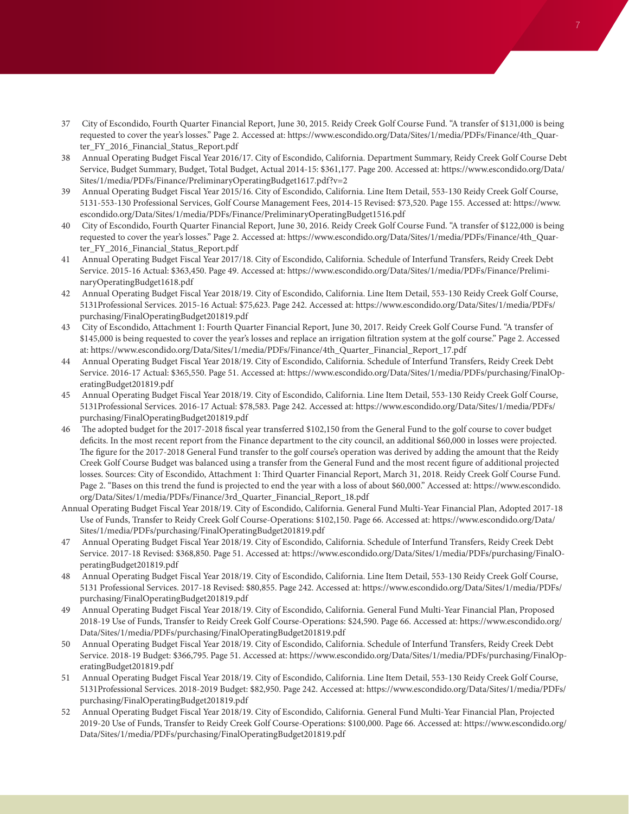- <span id="page-6-0"></span>[37](#page-1-0) City of Escondido, Fourth Quarter Financial Report, June 30, 2015. Reidy Creek Golf Course Fund. "A transfer of \$131,000 is being requested to cover the year's losses." Page 2. Accessed at: https://www.escondido.org/Data/Sites/1/media/PDFs/Finance/4th\_Quarter\_FY\_2016\_Financial\_Status\_Report.pdf
- [38](#page-1-0) Annual Operating Budget Fiscal Year 2016/17. City of Escondido, California. Department Summary, Reidy Creek Golf Course Debt Service, Budget Summary, Budget, Total Budget, Actual 2014-15: \$361,177. Page 200. Accessed at: https://www.escondido.org/Data/ Sites/1/media/PDFs/Finance/PreliminaryOperatingBudget1617.pdf?v=2
- [39](#page-1-0) Annual Operating Budget Fiscal Year 2015/16. City of Escondido, California. Line Item Detail, 553-130 Reidy Creek Golf Course, 5131-553-130 Professional Services, Golf Course Management Fees, 2014-15 Revised: \$73,520. Page 155. Accessed at: https://www. escondido.org/Data/Sites/1/media/PDFs/Finance/PreliminaryOperatingBudget1516.pdf
- [40](#page-1-0) City of Escondido, Fourth Quarter Financial Report, June 30, 2016. Reidy Creek Golf Course Fund. "A transfer of \$122,000 is being requested to cover the year's losses." Page 2. Accessed at: https://www.escondido.org/Data/Sites/1/media/PDFs/Finance/4th\_Quarter\_FY\_2016\_Financial\_Status\_Report.pdf
- [41](#page-1-0) Annual Operating Budget Fiscal Year 2017/18. City of Escondido, California. Schedule of Interfund Transfers, Reidy Creek Debt Service. 2015-16 Actual: \$363,450. Page 49. Accessed at: https://www.escondido.org/Data/Sites/1/media/PDFs/Finance/PreliminaryOperatingBudget1618.pdf
- [42](#page-1-0) Annual Operating Budget Fiscal Year 2018/19. City of Escondido, California. Line Item Detail, 553-130 Reidy Creek Golf Course, 5131Professional Services. 2015-16 Actual: \$75,623. Page 242. Accessed at: https://www.escondido.org/Data/Sites/1/media/PDFs/ purchasing/FinalOperatingBudget201819.pdf
- [43](#page-1-0) City of Escondido, Attachment 1: Fourth Quarter Financial Report, June 30, 2017. Reidy Creek Golf Course Fund. "A transfer of \$145,000 is being requested to cover the year's losses and replace an irrigation filtration system at the golf course." Page 2. Accessed at: https://www.escondido.org/Data/Sites/1/media/PDFs/Finance/4th\_Quarter\_Financial\_Report\_17.pdf
- [44](#page-1-0) Annual Operating Budget Fiscal Year 2018/19. City of Escondido, California. Schedule of Interfund Transfers, Reidy Creek Debt Service. 2016-17 Actual: \$365,550. Page 51. Accessed at: https://www.escondido.org/Data/Sites/1/media/PDFs/purchasing/FinalOperatingBudget201819.pdf
- [45](#page-1-0) Annual Operating Budget Fiscal Year 2018/19. City of Escondido, California. Line Item Detail, 553-130 Reidy Creek Golf Course, 5131Professional Services. 2016-17 Actual: \$78,583. Page 242. Accessed at: https://www.escondido.org/Data/Sites/1/media/PDFs/ purchasing/FinalOperatingBudget201819.pdf
- [46](#page-1-0) The adopted budget for the 2017-2018 fiscal year transferred \$102,150 from the General Fund to the golf course to cover budget deficits. In the most recent report from the Finance department to the city council, an additional \$60,000 in losses were projected. The figure for the 2017-2018 General Fund transfer to the golf course's operation was derived by adding the amount that the Reidy Creek Golf Course Budget was balanced using a transfer from the General Fund and the most recent figure of additional projected losses. Sources: City of Escondido, Attachment 1: Third Quarter Financial Report, March 31, 2018. Reidy Creek Golf Course Fund. Page 2. "Bases on this trend the fund is projected to end the year with a loss of about \$60,000." Accessed at: https://www.escondido. org/Data/Sites/1/media/PDFs/Finance/3rd\_Quarter\_Financial\_Report\_18.pdf
- Annual Operating Budget Fiscal Year 2018/19. City of Escondido, California. General Fund Multi-Year Financial Plan, Adopted 2017-18 Use of Funds, Transfer to Reidy Creek Golf Course-Operations: \$102,150. Page 66. Accessed at: https://www.escondido.org/Data/ Sites/1/media/PDFs/purchasing/FinalOperatingBudget201819.pdf
- [47](#page-1-0) Annual Operating Budget Fiscal Year 2018/19. City of Escondido, California. Schedule of Interfund Transfers, Reidy Creek Debt Service. 2017-18 Revised: \$368,850. Page 51. Accessed at: https://www.escondido.org/Data/Sites/1/media/PDFs/purchasing/FinalOperatingBudget201819.pdf
- [48](#page-1-0) Annual Operating Budget Fiscal Year 2018/19. City of Escondido, California. Line Item Detail, 553-130 Reidy Creek Golf Course, 5131 Professional Services. 2017-18 Revised: \$80,855. Page 242. Accessed at: https://www.escondido.org/Data/Sites/1/media/PDFs/ purchasing/FinalOperatingBudget201819.pdf
- [49](#page-2-0) Annual Operating Budget Fiscal Year 2018/19. City of Escondido, California. General Fund Multi-Year Financial Plan, Proposed 2018-19 Use of Funds, Transfer to Reidy Creek Golf Course-Operations: \$24,590. Page 66. Accessed at: https://www.escondido.org/ Data/Sites/1/media/PDFs/purchasing/FinalOperatingBudget201819.pdf
- [50](#page-2-0) Annual Operating Budget Fiscal Year 2018/19. City of Escondido, California. Schedule of Interfund Transfers, Reidy Creek Debt Service. 2018-19 Budget: \$366,795. Page 51. Accessed at: https://www.escondido.org/Data/Sites/1/media/PDFs/purchasing/FinalOperatingBudget201819.pdf
- [51](#page-2-0) Annual Operating Budget Fiscal Year 2018/19. City of Escondido, California. Line Item Detail, 553-130 Reidy Creek Golf Course, 5131Professional Services. 2018-2019 Budget: \$82,950. Page 242. Accessed at: https://www.escondido.org/Data/Sites/1/media/PDFs/ purchasing/FinalOperatingBudget201819.pdf
- [52](#page-2-0) Annual Operating Budget Fiscal Year 2018/19. City of Escondido, California. General Fund Multi-Year Financial Plan, Projected 2019-20 Use of Funds, Transfer to Reidy Creek Golf Course-Operations: \$100,000. Page 66. Accessed at: https://www.escondido.org/ Data/Sites/1/media/PDFs/purchasing/FinalOperatingBudget201819.pdf